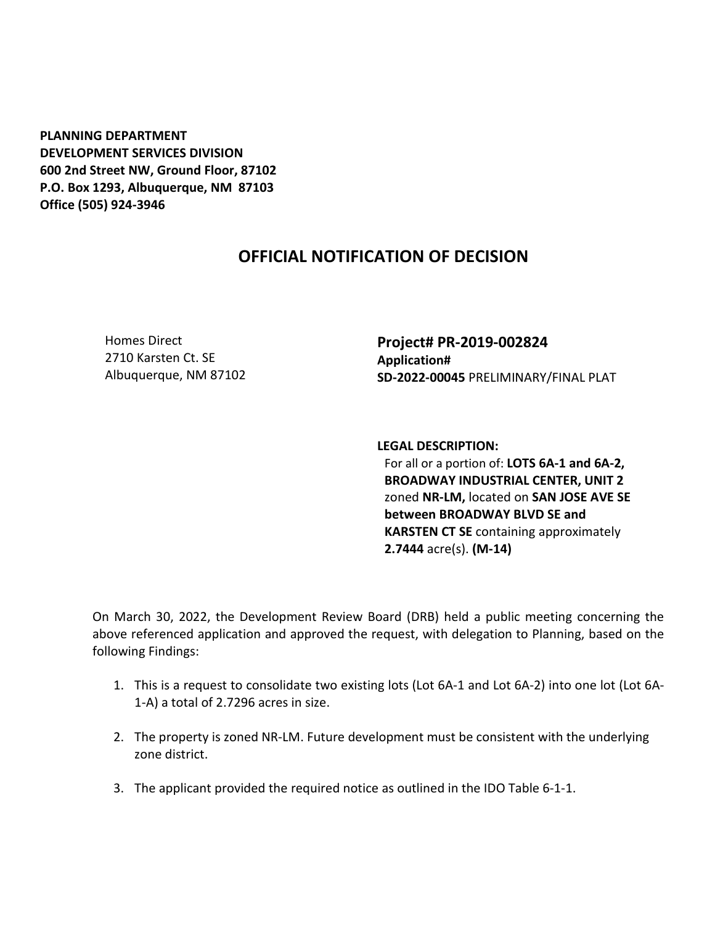**PLANNING DEPARTMENT DEVELOPMENT SERVICES DIVISION 600 2nd Street NW, Ground Floor, 87102 P.O. Box 1293, Albuquerque, NM 87103 Office (505) 924-3946** 

## **OFFICIAL NOTIFICATION OF DECISION**

Homes Direct 2710 Karsten Ct. SE Albuquerque, NM 87102 **Project# PR-2019-002824 Application# SD-2022-00045** PRELIMINARY/FINAL PLAT

**LEGAL DESCRIPTION:**

For all or a portion of: **LOTS 6A-1 and 6A-2, BROADWAY INDUSTRIAL CENTER, UNIT 2**  zoned **NR-LM,** located on **SAN JOSE AVE SE between BROADWAY BLVD SE and KARSTEN CT SE** containing approximately **2.7444** acre(s). **(M-14)**

On March 30, 2022, the Development Review Board (DRB) held a public meeting concerning the above referenced application and approved the request, with delegation to Planning, based on the following Findings:

- 1. This is a request to consolidate two existing lots (Lot 6A-1 and Lot 6A-2) into one lot (Lot 6A-1-A) a total of 2.7296 acres in size.
- 2. The property is zoned NR-LM. Future development must be consistent with the underlying zone district.
- 3. The applicant provided the required notice as outlined in the IDO Table 6-1-1.